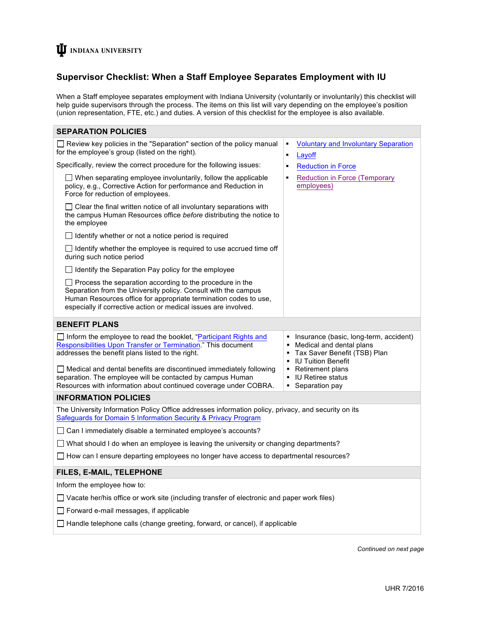# **U** INDIANA UNIVERSITY

# **Supervisor Checklist: When a Staff Employee Separates Employment with IU**

When a Staff employee separates employment with Indiana University (voluntarily or involuntarily) this checklist will help guide supervisors through the process. The items on this list will vary depending on the employee's position (union representation, FTE, etc.) and duties. A version of this checklist for the employee is also available.

| <b>SEPARATION POLICIES</b>                                                                                                                                                                                                                                                                                                                                                                                  |                                                                                                                                                                                                                                      |
|-------------------------------------------------------------------------------------------------------------------------------------------------------------------------------------------------------------------------------------------------------------------------------------------------------------------------------------------------------------------------------------------------------------|--------------------------------------------------------------------------------------------------------------------------------------------------------------------------------------------------------------------------------------|
| $\Box$ Review key policies in the "Separation" section of the policy manual<br>for the employee's group (listed on the right).                                                                                                                                                                                                                                                                              | <b>Voluntary and Involuntary Separation</b><br>$\blacksquare$<br>Layoff<br>$\blacksquare$                                                                                                                                            |
| Specifically, review the correct procedure for the following issues:                                                                                                                                                                                                                                                                                                                                        | <b>Reduction in Force</b><br>Е                                                                                                                                                                                                       |
| $\Box$ When separating employee involuntarily, follow the applicable<br>policy, e.g., Corrective Action for performance and Reduction in<br>Force for reduction of employees.                                                                                                                                                                                                                               | <b>Reduction in Force (Temporary</b><br>Ξ<br>employees)                                                                                                                                                                              |
| $\Box$ Clear the final written notice of all involuntary separations with<br>the campus Human Resources office before distributing the notice to<br>the employee                                                                                                                                                                                                                                            |                                                                                                                                                                                                                                      |
| $\Box$ Identify whether or not a notice period is required                                                                                                                                                                                                                                                                                                                                                  |                                                                                                                                                                                                                                      |
| $\Box$ Identify whether the employee is required to use accrued time off<br>during such notice period                                                                                                                                                                                                                                                                                                       |                                                                                                                                                                                                                                      |
| $\Box$ Identify the Separation Pay policy for the employee                                                                                                                                                                                                                                                                                                                                                  |                                                                                                                                                                                                                                      |
| $\Box$ Process the separation according to the procedure in the<br>Separation from the University policy. Consult with the campus<br>Human Resources office for appropriate termination codes to use,<br>especially if corrective action or medical issues are involved.                                                                                                                                    |                                                                                                                                                                                                                                      |
| <b>BENEFIT PLANS</b>                                                                                                                                                                                                                                                                                                                                                                                        |                                                                                                                                                                                                                                      |
| $\Box$ Inform the employee to read the booklet, "Participant Rights and<br>Responsibilities Upon Transfer or Termination." This document<br>addresses the benefit plans listed to the right.<br>$\Box$ Medical and dental benefits are discontinued immediately following<br>separation. The employee will be contacted by campus Human<br>Resources with information about continued coverage under COBRA. | • Insurance (basic, long-term, accident)<br>Medical and dental plans<br>Tax Saver Benefit (TSB) Plan<br>٠<br><b>IU Tuition Benefit</b><br>$\blacksquare$<br>Retirement plans<br>٠<br><b>IU Retiree status</b><br>Separation pay<br>٠ |
| <b>INFORMATION POLICIES</b>                                                                                                                                                                                                                                                                                                                                                                                 |                                                                                                                                                                                                                                      |
| The University Information Policy Office addresses information policy, privacy, and security on its<br>Safeguards for Domain 5 Information Security & Privacy Program                                                                                                                                                                                                                                       |                                                                                                                                                                                                                                      |
| $\Box$ Can I immediately disable a terminated employee's accounts?                                                                                                                                                                                                                                                                                                                                          |                                                                                                                                                                                                                                      |
| $\Box$ What should I do when an employee is leaving the university or changing departments?                                                                                                                                                                                                                                                                                                                 |                                                                                                                                                                                                                                      |
| $\Box$ How can I ensure departing employees no longer have access to departmental resources?                                                                                                                                                                                                                                                                                                                |                                                                                                                                                                                                                                      |
| FILES, E-MAIL, TELEPHONE                                                                                                                                                                                                                                                                                                                                                                                    |                                                                                                                                                                                                                                      |
| Inform the employee how to:                                                                                                                                                                                                                                                                                                                                                                                 |                                                                                                                                                                                                                                      |
| Vacate her/his office or work site (including transfer of electronic and paper work files)                                                                                                                                                                                                                                                                                                                  |                                                                                                                                                                                                                                      |
| $\Box$ Forward e-mail messages, if applicable                                                                                                                                                                                                                                                                                                                                                               |                                                                                                                                                                                                                                      |
| $\Box$ Handle telephone calls (change greeting, forward, or cancel), if applicable                                                                                                                                                                                                                                                                                                                          |                                                                                                                                                                                                                                      |

*Continued on next page*